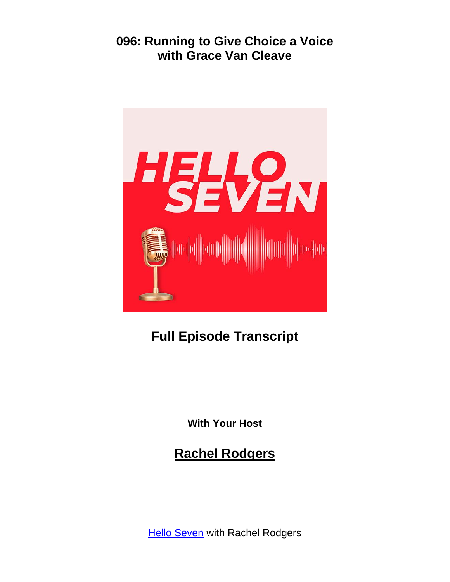

# **Full Episode Transcript**

**With Your Host**

# **Rachel Rodgers**

**Hello [Seven](https://helloseven.co/podcast-page/)** with Rachel Rodgers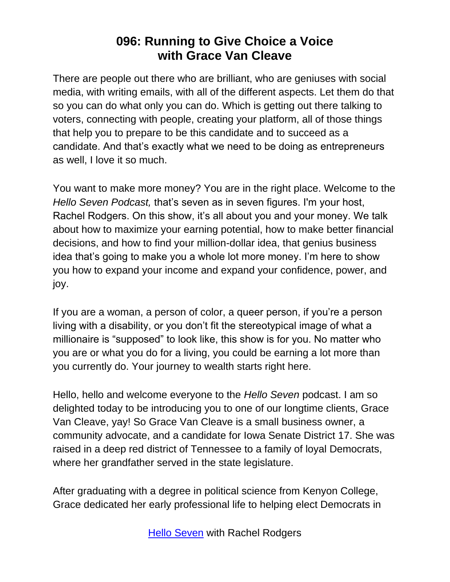There are people out there who are brilliant, who are geniuses with social media, with writing emails, with all of the different aspects. Let them do that so you can do what only you can do. Which is getting out there talking to voters, connecting with people, creating your platform, all of those things that help you to prepare to be this candidate and to succeed as a candidate. And that's exactly what we need to be doing as entrepreneurs as well, I love it so much.

You want to make more money? You are in the right place. Welcome to the *Hello Seven Podcast,* that's seven as in seven figures. I'm your host, Rachel Rodgers. On this show, it's all about you and your money. We talk about how to maximize your earning potential, how to make better financial decisions, and how to find your million-dollar idea, that genius business idea that's going to make you a whole lot more money. I'm here to show you how to expand your income and expand your confidence, power, and joy.

If you are a woman, a person of color, a queer person, if you're a person living with a disability, or you don't fit the stereotypical image of what a millionaire is "supposed" to look like, this show is for you. No matter who you are or what you do for a living, you could be earning a lot more than you currently do. Your journey to wealth starts right here.

Hello, hello and welcome everyone to the *Hello Seven* podcast. I am so delighted today to be introducing you to one of our longtime clients, Grace Van Cleave, yay! So Grace Van Cleave is a small business owner, a community advocate, and a candidate for Iowa Senate District 17. She was raised in a deep red district of Tennessee to a family of loyal Democrats, where her grandfather served in the state legislature.

After graduating with a degree in political science from Kenyon College, Grace dedicated her early professional life to helping elect Democrats in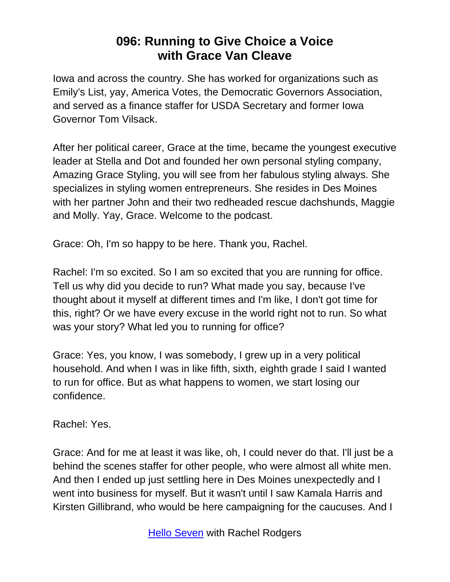Iowa and across the country. She has worked for organizations such as Emily's List, yay, America Votes, the Democratic Governors Association, and served as a finance staffer for USDA Secretary and former Iowa Governor Tom Vilsack.

After her political career, Grace at the time, became the youngest executive leader at Stella and Dot and founded her own personal styling company, Amazing Grace Styling, you will see from her fabulous styling always. She specializes in styling women entrepreneurs. She resides in Des Moines with her partner John and their two redheaded rescue dachshunds, Maggie and Molly. Yay, Grace. Welcome to the podcast.

Grace: Oh, I'm so happy to be here. Thank you, Rachel.

Rachel: I'm so excited. So I am so excited that you are running for office. Tell us why did you decide to run? What made you say, because I've thought about it myself at different times and I'm like, I don't got time for this, right? Or we have every excuse in the world right not to run. So what was your story? What led you to running for office?

Grace: Yes, you know, I was somebody, I grew up in a very political household. And when I was in like fifth, sixth, eighth grade I said I wanted to run for office. But as what happens to women, we start losing our confidence.

Rachel: Yes.

Grace: And for me at least it was like, oh, I could never do that. I'll just be a behind the scenes staffer for other people, who were almost all white men. And then I ended up just settling here in Des Moines unexpectedly and I went into business for myself. But it wasn't until I saw Kamala Harris and Kirsten Gillibrand, who would be here campaigning for the caucuses. And I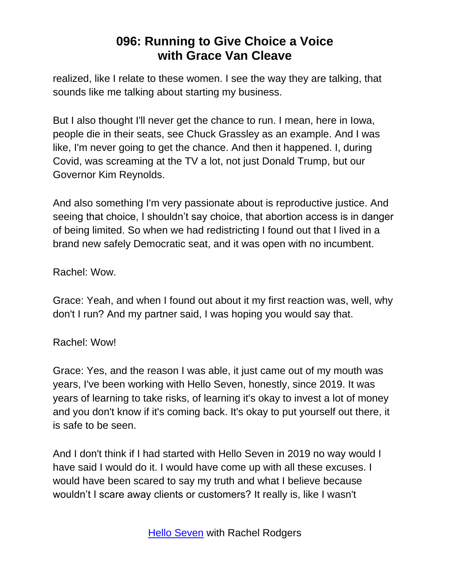realized, like I relate to these women. I see the way they are talking, that sounds like me talking about starting my business.

But I also thought I'll never get the chance to run. I mean, here in Iowa, people die in their seats, see Chuck Grassley as an example. And I was like, I'm never going to get the chance. And then it happened. I, during Covid, was screaming at the TV a lot, not just Donald Trump, but our Governor Kim Reynolds.

And also something I'm very passionate about is reproductive justice. And seeing that choice, I shouldn't say choice, that abortion access is in danger of being limited. So when we had redistricting I found out that I lived in a brand new safely Democratic seat, and it was open with no incumbent.

Rachel: Wow.

Grace: Yeah, and when I found out about it my first reaction was, well, why don't I run? And my partner said, I was hoping you would say that.

#### Rachel: Wow!

Grace: Yes, and the reason I was able, it just came out of my mouth was years, I've been working with Hello Seven, honestly, since 2019. It was years of learning to take risks, of learning it's okay to invest a lot of money and you don't know if it's coming back. It's okay to put yourself out there, it is safe to be seen.

And I don't think if I had started with Hello Seven in 2019 no way would I have said I would do it. I would have come up with all these excuses. I would have been scared to say my truth and what I believe because wouldn't I scare away clients or customers? It really is, like I wasn't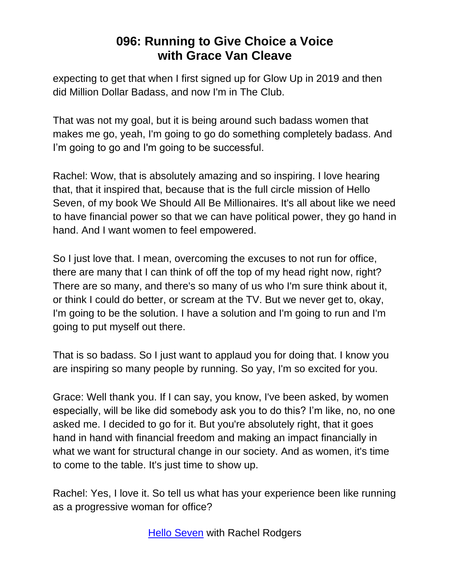expecting to get that when I first signed up for Glow Up in 2019 and then did Million Dollar Badass, and now I'm in The Club.

That was not my goal, but it is being around such badass women that makes me go, yeah, I'm going to go do something completely badass. And I'm going to go and I'm going to be successful.

Rachel: Wow, that is absolutely amazing and so inspiring. I love hearing that, that it inspired that, because that is the full circle mission of Hello Seven, of my book We Should All Be Millionaires. It's all about like we need to have financial power so that we can have political power, they go hand in hand. And I want women to feel empowered.

So I just love that. I mean, overcoming the excuses to not run for office, there are many that I can think of off the top of my head right now, right? There are so many, and there's so many of us who I'm sure think about it, or think I could do better, or scream at the TV. But we never get to, okay, I'm going to be the solution. I have a solution and I'm going to run and I'm going to put myself out there.

That is so badass. So I just want to applaud you for doing that. I know you are inspiring so many people by running. So yay, I'm so excited for you.

Grace: Well thank you. If I can say, you know, I've been asked, by women especially, will be like did somebody ask you to do this? I'm like, no, no one asked me. I decided to go for it. But you're absolutely right, that it goes hand in hand with financial freedom and making an impact financially in what we want for structural change in our society. And as women, it's time to come to the table. It's just time to show up.

Rachel: Yes, I love it. So tell us what has your experience been like running as a progressive woman for office?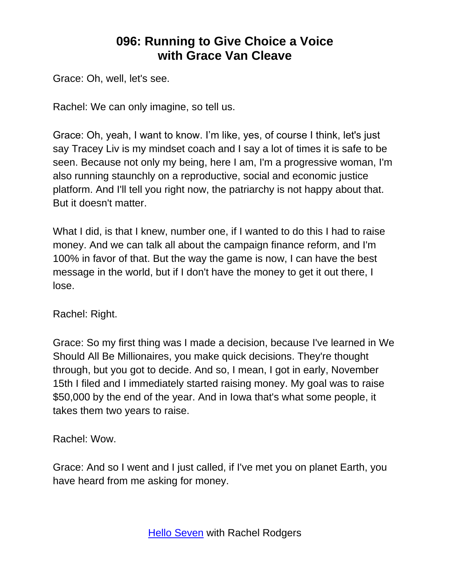Grace: Oh, well, let's see.

Rachel: We can only imagine, so tell us.

Grace: Oh, yeah, I want to know. I'm like, yes, of course I think, let's just say Tracey Liv is my mindset coach and I say a lot of times it is safe to be seen. Because not only my being, here I am, I'm a progressive woman, I'm also running staunchly on a reproductive, social and economic justice platform. And I'll tell you right now, the patriarchy is not happy about that. But it doesn't matter.

What I did, is that I knew, number one, if I wanted to do this I had to raise money. And we can talk all about the campaign finance reform, and I'm 100% in favor of that. But the way the game is now, I can have the best message in the world, but if I don't have the money to get it out there, I lose.

Rachel: Right.

Grace: So my first thing was I made a decision, because I've learned in We Should All Be Millionaires, you make quick decisions. They're thought through, but you got to decide. And so, I mean, I got in early, November 15th I filed and I immediately started raising money. My goal was to raise \$50,000 by the end of the year. And in Iowa that's what some people, it takes them two years to raise.

Rachel: Wow.

Grace: And so I went and I just called, if I've met you on planet Earth, you have heard from me asking for money.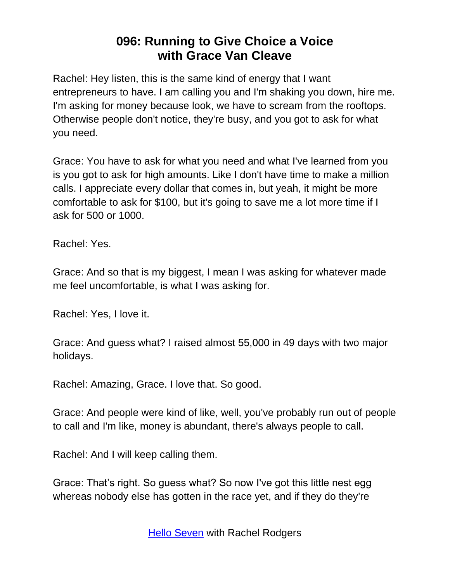Rachel: Hey listen, this is the same kind of energy that I want entrepreneurs to have. I am calling you and I'm shaking you down, hire me. I'm asking for money because look, we have to scream from the rooftops. Otherwise people don't notice, they're busy, and you got to ask for what you need.

Grace: You have to ask for what you need and what I've learned from you is you got to ask for high amounts. Like I don't have time to make a million calls. I appreciate every dollar that comes in, but yeah, it might be more comfortable to ask for \$100, but it's going to save me a lot more time if I ask for 500 or 1000.

Rachel: Yes.

Grace: And so that is my biggest, I mean I was asking for whatever made me feel uncomfortable, is what I was asking for.

Rachel: Yes, I love it.

Grace: And guess what? I raised almost 55,000 in 49 days with two major holidays.

Rachel: Amazing, Grace. I love that. So good.

Grace: And people were kind of like, well, you've probably run out of people to call and I'm like, money is abundant, there's always people to call.

Rachel: And I will keep calling them.

Grace: That's right. So guess what? So now I've got this little nest egg whereas nobody else has gotten in the race yet, and if they do they're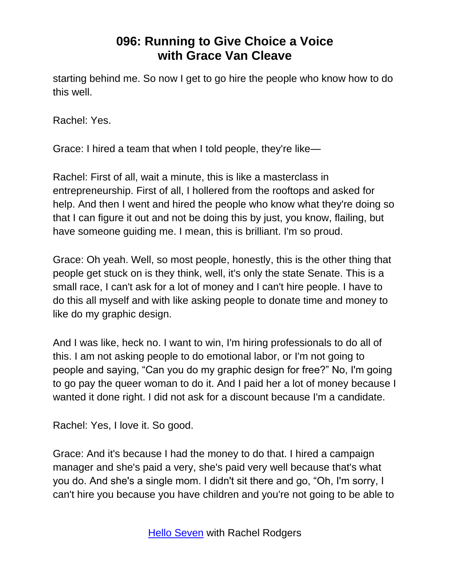starting behind me. So now I get to go hire the people who know how to do this well.

Rachel: Yes.

Grace: I hired a team that when I told people, they're like—

Rachel: First of all, wait a minute, this is like a masterclass in entrepreneurship. First of all, I hollered from the rooftops and asked for help. And then I went and hired the people who know what they're doing so that I can figure it out and not be doing this by just, you know, flailing, but have someone guiding me. I mean, this is brilliant. I'm so proud.

Grace: Oh yeah. Well, so most people, honestly, this is the other thing that people get stuck on is they think, well, it's only the state Senate. This is a small race, I can't ask for a lot of money and I can't hire people. I have to do this all myself and with like asking people to donate time and money to like do my graphic design.

And I was like, heck no. I want to win, I'm hiring professionals to do all of this. I am not asking people to do emotional labor, or I'm not going to people and saying, "Can you do my graphic design for free?" No, I'm going to go pay the queer woman to do it. And I paid her a lot of money because I wanted it done right. I did not ask for a discount because I'm a candidate.

Rachel: Yes, I love it. So good.

Grace: And it's because I had the money to do that. I hired a campaign manager and she's paid a very, she's paid very well because that's what you do. And she's a single mom. I didn't sit there and go, "Oh, I'm sorry, I can't hire you because you have children and you're not going to be able to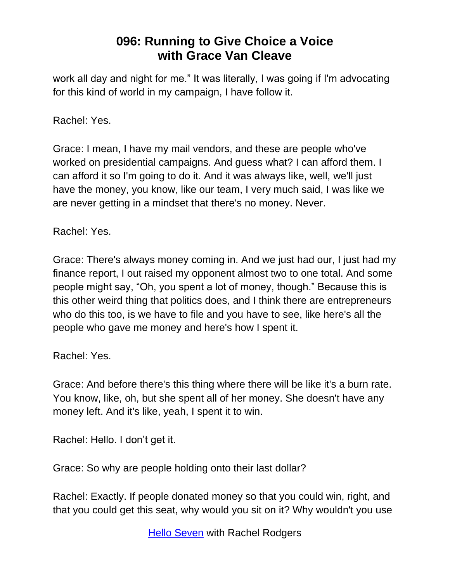work all day and night for me." It was literally, I was going if I'm advocating for this kind of world in my campaign, I have follow it.

Rachel: Yes.

Grace: I mean, I have my mail vendors, and these are people who've worked on presidential campaigns. And guess what? I can afford them. I can afford it so I'm going to do it. And it was always like, well, we'll just have the money, you know, like our team, I very much said, I was like we are never getting in a mindset that there's no money. Never.

Rachel: Yes.

Grace: There's always money coming in. And we just had our, I just had my finance report, I out raised my opponent almost two to one total. And some people might say, "Oh, you spent a lot of money, though." Because this is this other weird thing that politics does, and I think there are entrepreneurs who do this too, is we have to file and you have to see, like here's all the people who gave me money and here's how I spent it.

Rachel: Yes.

Grace: And before there's this thing where there will be like it's a burn rate. You know, like, oh, but she spent all of her money. She doesn't have any money left. And it's like, yeah, I spent it to win.

Rachel: Hello. I don't get it.

Grace: So why are people holding onto their last dollar?

Rachel: Exactly. If people donated money so that you could win, right, and that you could get this seat, why would you sit on it? Why wouldn't you use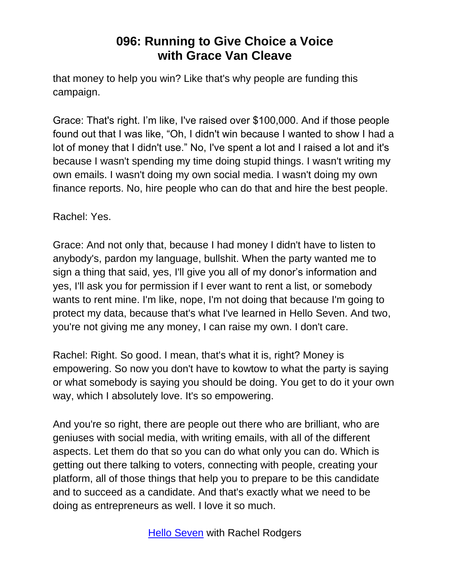that money to help you win? Like that's why people are funding this campaign.

Grace: That's right. I'm like, I've raised over \$100,000. And if those people found out that I was like, "Oh, I didn't win because I wanted to show I had a lot of money that I didn't use." No, I've spent a lot and I raised a lot and it's because I wasn't spending my time doing stupid things. I wasn't writing my own emails. I wasn't doing my own social media. I wasn't doing my own finance reports. No, hire people who can do that and hire the best people.

Rachel: Yes.

Grace: And not only that, because I had money I didn't have to listen to anybody's, pardon my language, bullshit. When the party wanted me to sign a thing that said, yes, I'll give you all of my donor's information and yes, I'll ask you for permission if I ever want to rent a list, or somebody wants to rent mine. I'm like, nope, I'm not doing that because I'm going to protect my data, because that's what I've learned in Hello Seven. And two, you're not giving me any money, I can raise my own. I don't care.

Rachel: Right. So good. I mean, that's what it is, right? Money is empowering. So now you don't have to kowtow to what the party is saying or what somebody is saying you should be doing. You get to do it your own way, which I absolutely love. It's so empowering.

And you're so right, there are people out there who are brilliant, who are geniuses with social media, with writing emails, with all of the different aspects. Let them do that so you can do what only you can do. Which is getting out there talking to voters, connecting with people, creating your platform, all of those things that help you to prepare to be this candidate and to succeed as a candidate. And that's exactly what we need to be doing as entrepreneurs as well. I love it so much.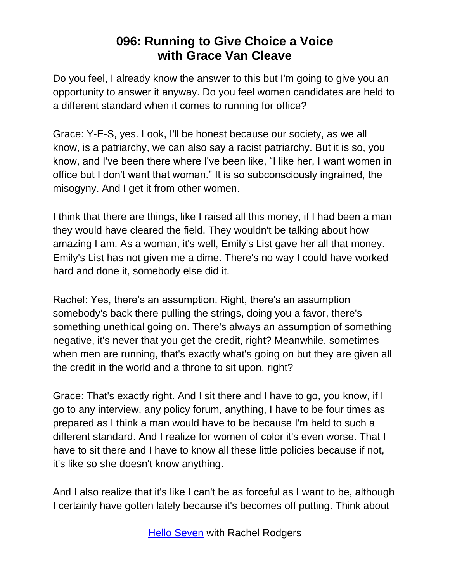Do you feel, I already know the answer to this but I'm going to give you an opportunity to answer it anyway. Do you feel women candidates are held to a different standard when it comes to running for office?

Grace: Y-E-S, yes. Look, I'll be honest because our society, as we all know, is a patriarchy, we can also say a racist patriarchy. But it is so, you know, and I've been there where I've been like, "I like her, I want women in office but I don't want that woman." It is so subconsciously ingrained, the misogyny. And I get it from other women.

I think that there are things, like I raised all this money, if I had been a man they would have cleared the field. They wouldn't be talking about how amazing I am. As a woman, it's well, Emily's List gave her all that money. Emily's List has not given me a dime. There's no way I could have worked hard and done it, somebody else did it.

Rachel: Yes, there's an assumption. Right, there's an assumption somebody's back there pulling the strings, doing you a favor, there's something unethical going on. There's always an assumption of something negative, it's never that you get the credit, right? Meanwhile, sometimes when men are running, that's exactly what's going on but they are given all the credit in the world and a throne to sit upon, right?

Grace: That's exactly right. And I sit there and I have to go, you know, if I go to any interview, any policy forum, anything, I have to be four times as prepared as I think a man would have to be because I'm held to such a different standard. And I realize for women of color it's even worse. That I have to sit there and I have to know all these little policies because if not, it's like so she doesn't know anything.

And I also realize that it's like I can't be as forceful as I want to be, although I certainly have gotten lately because it's becomes off putting. Think about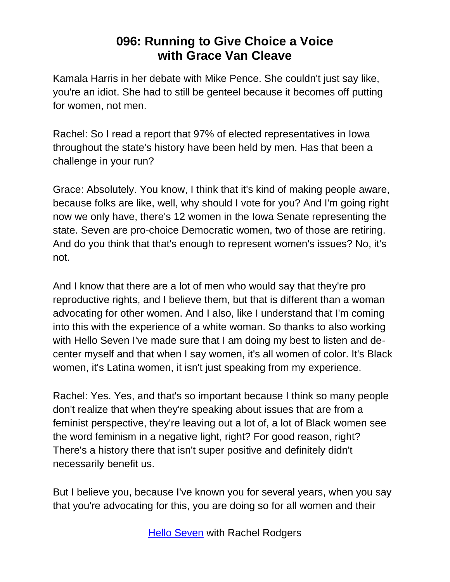Kamala Harris in her debate with Mike Pence. She couldn't just say like, you're an idiot. She had to still be genteel because it becomes off putting for women, not men.

Rachel: So I read a report that 97% of elected representatives in Iowa throughout the state's history have been held by men. Has that been a challenge in your run?

Grace: Absolutely. You know, I think that it's kind of making people aware, because folks are like, well, why should I vote for you? And I'm going right now we only have, there's 12 women in the Iowa Senate representing the state. Seven are pro-choice Democratic women, two of those are retiring. And do you think that that's enough to represent women's issues? No, it's not.

And I know that there are a lot of men who would say that they're pro reproductive rights, and I believe them, but that is different than a woman advocating for other women. And I also, like I understand that I'm coming into this with the experience of a white woman. So thanks to also working with Hello Seven I've made sure that I am doing my best to listen and decenter myself and that when I say women, it's all women of color. It's Black women, it's Latina women, it isn't just speaking from my experience.

Rachel: Yes. Yes, and that's so important because I think so many people don't realize that when they're speaking about issues that are from a feminist perspective, they're leaving out a lot of, a lot of Black women see the word feminism in a negative light, right? For good reason, right? There's a history there that isn't super positive and definitely didn't necessarily benefit us.

But I believe you, because I've known you for several years, when you say that you're advocating for this, you are doing so for all women and their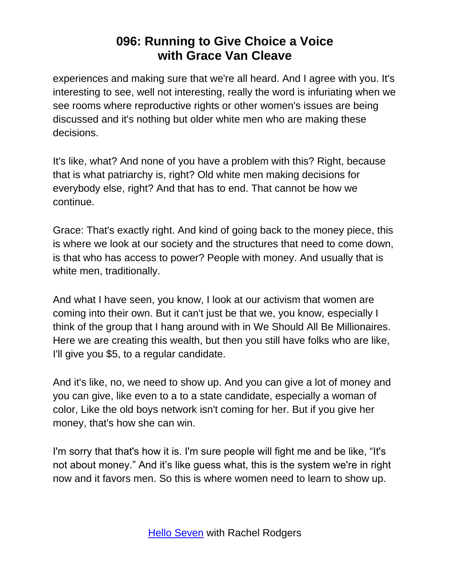experiences and making sure that we're all heard. And I agree with you. It's interesting to see, well not interesting, really the word is infuriating when we see rooms where reproductive rights or other women's issues are being discussed and it's nothing but older white men who are making these decisions.

It's like, what? And none of you have a problem with this? Right, because that is what patriarchy is, right? Old white men making decisions for everybody else, right? And that has to end. That cannot be how we continue.

Grace: That's exactly right. And kind of going back to the money piece, this is where we look at our society and the structures that need to come down, is that who has access to power? People with money. And usually that is white men, traditionally.

And what I have seen, you know, I look at our activism that women are coming into their own. But it can't just be that we, you know, especially I think of the group that I hang around with in We Should All Be Millionaires. Here we are creating this wealth, but then you still have folks who are like, I'll give you \$5, to a regular candidate.

And it's like, no, we need to show up. And you can give a lot of money and you can give, like even to a to a state candidate, especially a woman of color, Like the old boys network isn't coming for her. But if you give her money, that's how she can win.

I'm sorry that that's how it is. I'm sure people will fight me and be like, "It's not about money." And it's like guess what, this is the system we're in right now and it favors men. So this is where women need to learn to show up.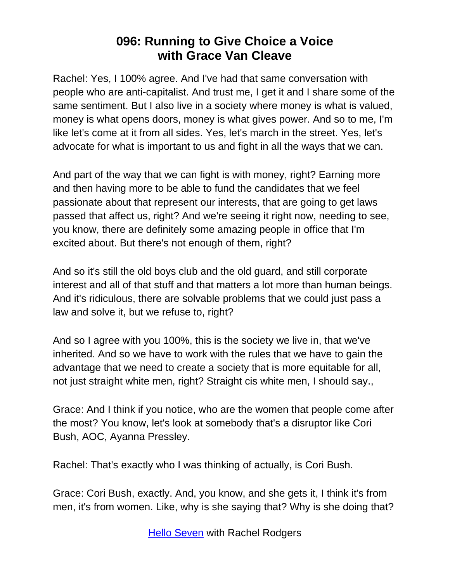Rachel: Yes, I 100% agree. And I've had that same conversation with people who are anti-capitalist. And trust me, I get it and I share some of the same sentiment. But I also live in a society where money is what is valued, money is what opens doors, money is what gives power. And so to me, I'm like let's come at it from all sides. Yes, let's march in the street. Yes, let's advocate for what is important to us and fight in all the ways that we can.

And part of the way that we can fight is with money, right? Earning more and then having more to be able to fund the candidates that we feel passionate about that represent our interests, that are going to get laws passed that affect us, right? And we're seeing it right now, needing to see, you know, there are definitely some amazing people in office that I'm excited about. But there's not enough of them, right?

And so it's still the old boys club and the old guard, and still corporate interest and all of that stuff and that matters a lot more than human beings. And it's ridiculous, there are solvable problems that we could just pass a law and solve it, but we refuse to, right?

And so I agree with you 100%, this is the society we live in, that we've inherited. And so we have to work with the rules that we have to gain the advantage that we need to create a society that is more equitable for all, not just straight white men, right? Straight cis white men, I should say.,

Grace: And I think if you notice, who are the women that people come after the most? You know, let's look at somebody that's a disruptor like Cori Bush, AOC, Ayanna Pressley.

Rachel: That's exactly who I was thinking of actually, is Cori Bush.

Grace: Cori Bush, exactly. And, you know, and she gets it, I think it's from men, it's from women. Like, why is she saying that? Why is she doing that?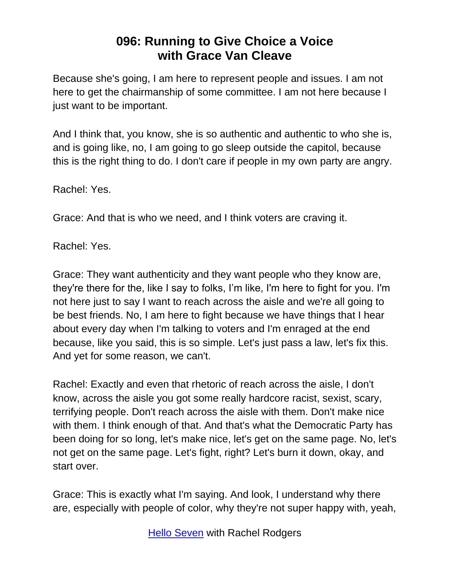Because she's going, I am here to represent people and issues. I am not here to get the chairmanship of some committee. I am not here because I just want to be important.

And I think that, you know, she is so authentic and authentic to who she is, and is going like, no, I am going to go sleep outside the capitol, because this is the right thing to do. I don't care if people in my own party are angry.

Rachel: Yes.

Grace: And that is who we need, and I think voters are craving it.

Rachel: Yes.

Grace: They want authenticity and they want people who they know are, they're there for the, like I say to folks, I'm like, I'm here to fight for you. I'm not here just to say I want to reach across the aisle and we're all going to be best friends. No, I am here to fight because we have things that I hear about every day when I'm talking to voters and I'm enraged at the end because, like you said, this is so simple. Let's just pass a law, let's fix this. And yet for some reason, we can't.

Rachel: Exactly and even that rhetoric of reach across the aisle, I don't know, across the aisle you got some really hardcore racist, sexist, scary, terrifying people. Don't reach across the aisle with them. Don't make nice with them. I think enough of that. And that's what the Democratic Party has been doing for so long, let's make nice, let's get on the same page. No, let's not get on the same page. Let's fight, right? Let's burn it down, okay, and start over.

Grace: This is exactly what I'm saying. And look, I understand why there are, especially with people of color, why they're not super happy with, yeah,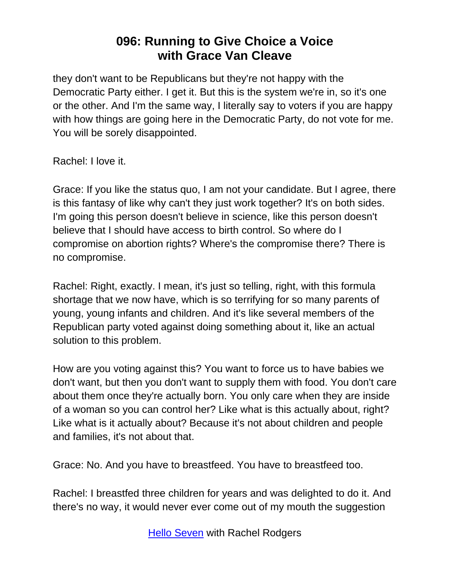they don't want to be Republicans but they're not happy with the Democratic Party either. I get it. But this is the system we're in, so it's one or the other. And I'm the same way, I literally say to voters if you are happy with how things are going here in the Democratic Party, do not vote for me. You will be sorely disappointed.

Rachel: I love it.

Grace: If you like the status quo, I am not your candidate. But I agree, there is this fantasy of like why can't they just work together? It's on both sides. I'm going this person doesn't believe in science, like this person doesn't believe that I should have access to birth control. So where do I compromise on abortion rights? Where's the compromise there? There is no compromise.

Rachel: Right, exactly. I mean, it's just so telling, right, with this formula shortage that we now have, which is so terrifying for so many parents of young, young infants and children. And it's like several members of the Republican party voted against doing something about it, like an actual solution to this problem.

How are you voting against this? You want to force us to have babies we don't want, but then you don't want to supply them with food. You don't care about them once they're actually born. You only care when they are inside of a woman so you can control her? Like what is this actually about, right? Like what is it actually about? Because it's not about children and people and families, it's not about that.

Grace: No. And you have to breastfeed. You have to breastfeed too.

Rachel: I breastfed three children for years and was delighted to do it. And there's no way, it would never ever come out of my mouth the suggestion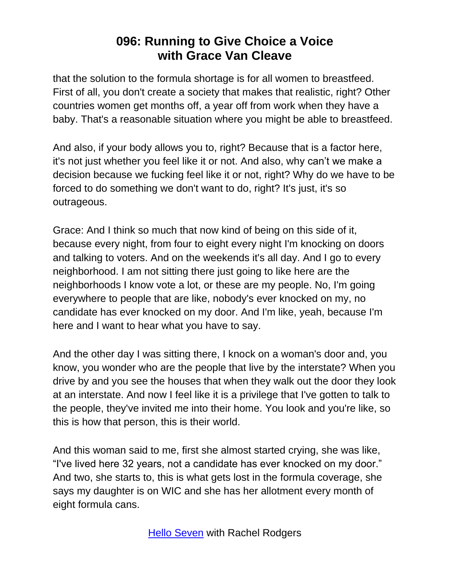that the solution to the formula shortage is for all women to breastfeed. First of all, you don't create a society that makes that realistic, right? Other countries women get months off, a year off from work when they have a baby. That's a reasonable situation where you might be able to breastfeed.

And also, if your body allows you to, right? Because that is a factor here, it's not just whether you feel like it or not. And also, why can't we make a decision because we fucking feel like it or not, right? Why do we have to be forced to do something we don't want to do, right? It's just, it's so outrageous.

Grace: And I think so much that now kind of being on this side of it, because every night, from four to eight every night I'm knocking on doors and talking to voters. And on the weekends it's all day. And I go to every neighborhood. I am not sitting there just going to like here are the neighborhoods I know vote a lot, or these are my people. No, I'm going everywhere to people that are like, nobody's ever knocked on my, no candidate has ever knocked on my door. And I'm like, yeah, because I'm here and I want to hear what you have to say.

And the other day I was sitting there, I knock on a woman's door and, you know, you wonder who are the people that live by the interstate? When you drive by and you see the houses that when they walk out the door they look at an interstate. And now I feel like it is a privilege that I've gotten to talk to the people, they've invited me into their home. You look and you're like, so this is how that person, this is their world.

And this woman said to me, first she almost started crying, she was like, "I've lived here 32 years, not a candidate has ever knocked on my door." And two, she starts to, this is what gets lost in the formula coverage, she says my daughter is on WIC and she has her allotment every month of eight formula cans.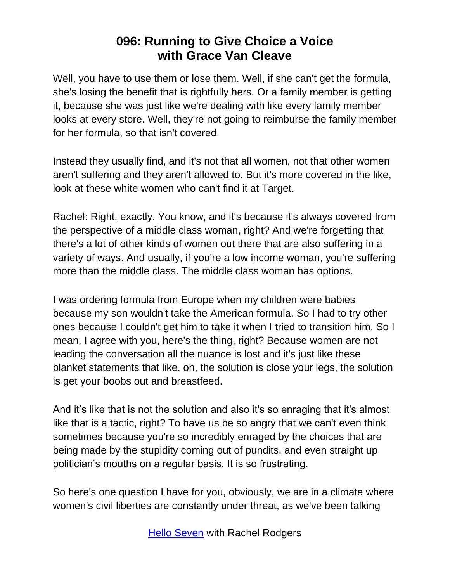Well, you have to use them or lose them. Well, if she can't get the formula, she's losing the benefit that is rightfully hers. Or a family member is getting it, because she was just like we're dealing with like every family member looks at every store. Well, they're not going to reimburse the family member for her formula, so that isn't covered.

Instead they usually find, and it's not that all women, not that other women aren't suffering and they aren't allowed to. But it's more covered in the like, look at these white women who can't find it at Target.

Rachel: Right, exactly. You know, and it's because it's always covered from the perspective of a middle class woman, right? And we're forgetting that there's a lot of other kinds of women out there that are also suffering in a variety of ways. And usually, if you're a low income woman, you're suffering more than the middle class. The middle class woman has options.

I was ordering formula from Europe when my children were babies because my son wouldn't take the American formula. So I had to try other ones because I couldn't get him to take it when I tried to transition him. So I mean, I agree with you, here's the thing, right? Because women are not leading the conversation all the nuance is lost and it's just like these blanket statements that like, oh, the solution is close your legs, the solution is get your boobs out and breastfeed.

And it's like that is not the solution and also it's so enraging that it's almost like that is a tactic, right? To have us be so angry that we can't even think sometimes because you're so incredibly enraged by the choices that are being made by the stupidity coming out of pundits, and even straight up politician's mouths on a regular basis. It is so frustrating.

So here's one question I have for you, obviously, we are in a climate where women's civil liberties are constantly under threat, as we've been talking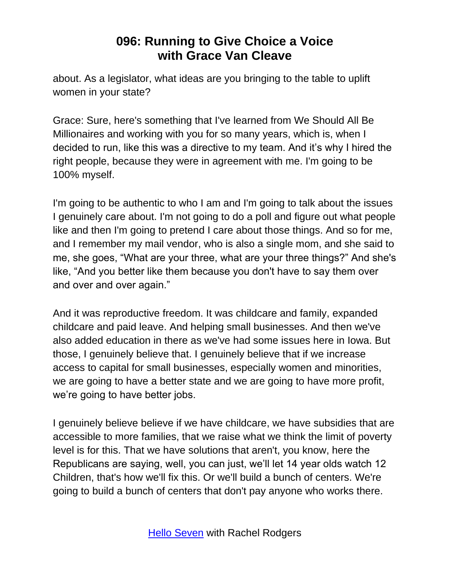about. As a legislator, what ideas are you bringing to the table to uplift women in your state?

Grace: Sure, here's something that I've learned from We Should All Be Millionaires and working with you for so many years, which is, when I decided to run, like this was a directive to my team. And it's why I hired the right people, because they were in agreement with me. I'm going to be 100% myself.

I'm going to be authentic to who I am and I'm going to talk about the issues I genuinely care about. I'm not going to do a poll and figure out what people like and then I'm going to pretend I care about those things. And so for me, and I remember my mail vendor, who is also a single mom, and she said to me, she goes, "What are your three, what are your three things?" And she's like, "And you better like them because you don't have to say them over and over and over again."

And it was reproductive freedom. It was childcare and family, expanded childcare and paid leave. And helping small businesses. And then we've also added education in there as we've had some issues here in Iowa. But those, I genuinely believe that. I genuinely believe that if we increase access to capital for small businesses, especially women and minorities, we are going to have a better state and we are going to have more profit, we're going to have better jobs.

I genuinely believe believe if we have childcare, we have subsidies that are accessible to more families, that we raise what we think the limit of poverty level is for this. That we have solutions that aren't, you know, here the Republicans are saying, well, you can just, we'll let 14 year olds watch 12 Children, that's how we'll fix this. Or we'll build a bunch of centers. We're going to build a bunch of centers that don't pay anyone who works there.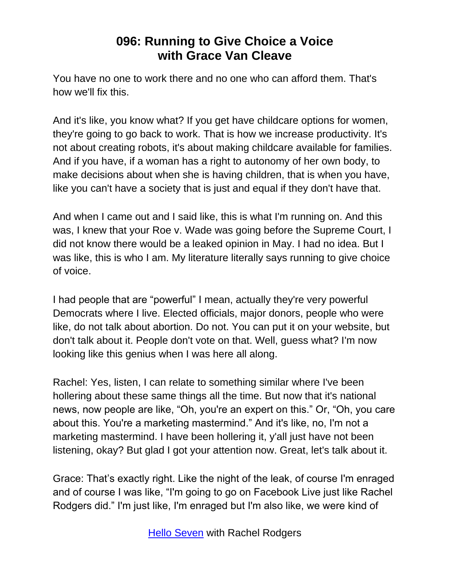You have no one to work there and no one who can afford them. That's how we'll fix this.

And it's like, you know what? If you get have childcare options for women, they're going to go back to work. That is how we increase productivity. It's not about creating robots, it's about making childcare available for families. And if you have, if a woman has a right to autonomy of her own body, to make decisions about when she is having children, that is when you have, like you can't have a society that is just and equal if they don't have that.

And when I came out and I said like, this is what I'm running on. And this was, I knew that your Roe v. Wade was going before the Supreme Court, I did not know there would be a leaked opinion in May. I had no idea. But I was like, this is who I am. My literature literally says running to give choice of voice.

I had people that are "powerful" I mean, actually they're very powerful Democrats where I live. Elected officials, major donors, people who were like, do not talk about abortion. Do not. You can put it on your website, but don't talk about it. People don't vote on that. Well, guess what? I'm now looking like this genius when I was here all along.

Rachel: Yes, listen, I can relate to something similar where I've been hollering about these same things all the time. But now that it's national news, now people are like, "Oh, you're an expert on this." Or, "Oh, you care about this. You're a marketing mastermind." And it's like, no, I'm not a marketing mastermind. I have been hollering it, y'all just have not been listening, okay? But glad I got your attention now. Great, let's talk about it.

Grace: That's exactly right. Like the night of the leak, of course I'm enraged and of course I was like, "I'm going to go on Facebook Live just like Rachel Rodgers did." I'm just like, I'm enraged but I'm also like, we were kind of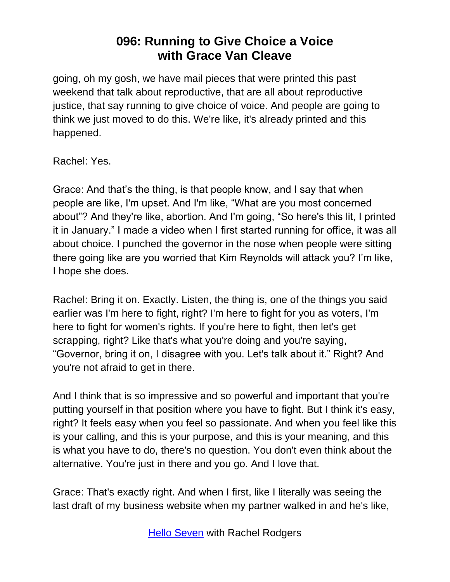going, oh my gosh, we have mail pieces that were printed this past weekend that talk about reproductive, that are all about reproductive justice, that say running to give choice of voice. And people are going to think we just moved to do this. We're like, it's already printed and this happened.

Rachel: Yes.

Grace: And that's the thing, is that people know, and I say that when people are like, I'm upset. And I'm like, "What are you most concerned about"? And they're like, abortion. And I'm going, "So here's this lit, I printed it in January." I made a video when I first started running for office, it was all about choice. I punched the governor in the nose when people were sitting there going like are you worried that Kim Reynolds will attack you? I'm like, I hope she does.

Rachel: Bring it on. Exactly. Listen, the thing is, one of the things you said earlier was I'm here to fight, right? I'm here to fight for you as voters, I'm here to fight for women's rights. If you're here to fight, then let's get scrapping, right? Like that's what you're doing and you're saying, "Governor, bring it on, I disagree with you. Let's talk about it." Right? And you're not afraid to get in there.

And I think that is so impressive and so powerful and important that you're putting yourself in that position where you have to fight. But I think it's easy, right? It feels easy when you feel so passionate. And when you feel like this is your calling, and this is your purpose, and this is your meaning, and this is what you have to do, there's no question. You don't even think about the alternative. You're just in there and you go. And I love that.

Grace: That's exactly right. And when I first, like I literally was seeing the last draft of my business website when my partner walked in and he's like,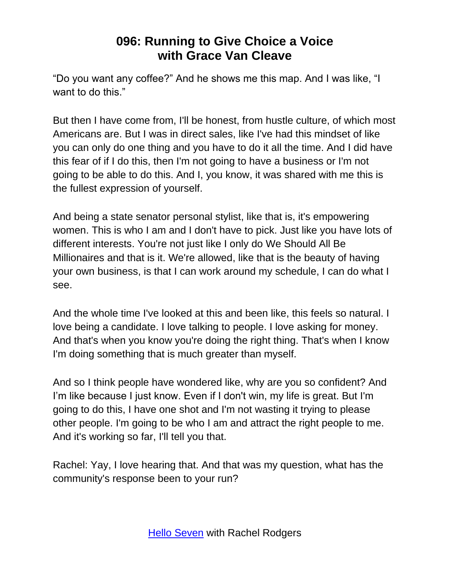"Do you want any coffee?" And he shows me this map. And I was like, "I want to do this."

But then I have come from, I'll be honest, from hustle culture, of which most Americans are. But I was in direct sales, like I've had this mindset of like you can only do one thing and you have to do it all the time. And I did have this fear of if I do this, then I'm not going to have a business or I'm not going to be able to do this. And I, you know, it was shared with me this is the fullest expression of yourself.

And being a state senator personal stylist, like that is, it's empowering women. This is who I am and I don't have to pick. Just like you have lots of different interests. You're not just like I only do We Should All Be Millionaires and that is it. We're allowed, like that is the beauty of having your own business, is that I can work around my schedule, I can do what I see.

And the whole time I've looked at this and been like, this feels so natural. I love being a candidate. I love talking to people. I love asking for money. And that's when you know you're doing the right thing. That's when I know I'm doing something that is much greater than myself.

And so I think people have wondered like, why are you so confident? And I'm like because I just know. Even if I don't win, my life is great. But I'm going to do this, I have one shot and I'm not wasting it trying to please other people. I'm going to be who I am and attract the right people to me. And it's working so far, I'll tell you that.

Rachel: Yay, I love hearing that. And that was my question, what has the community's response been to your run?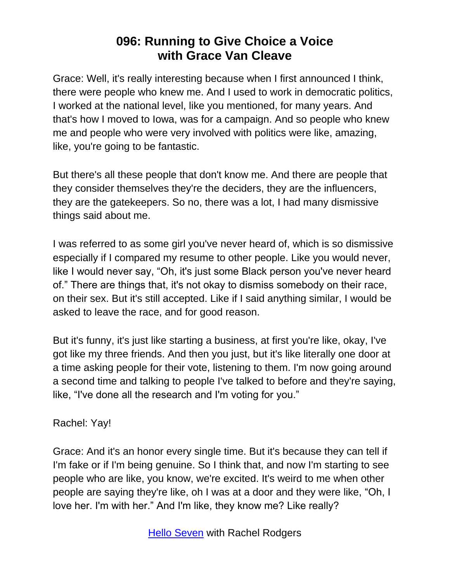Grace: Well, it's really interesting because when I first announced I think, there were people who knew me. And I used to work in democratic politics, I worked at the national level, like you mentioned, for many years. And that's how I moved to Iowa, was for a campaign. And so people who knew me and people who were very involved with politics were like, amazing, like, you're going to be fantastic.

But there's all these people that don't know me. And there are people that they consider themselves they're the deciders, they are the influencers, they are the gatekeepers. So no, there was a lot, I had many dismissive things said about me.

I was referred to as some girl you've never heard of, which is so dismissive especially if I compared my resume to other people. Like you would never, like I would never say, "Oh, it's just some Black person you've never heard of." There are things that, it's not okay to dismiss somebody on their race, on their sex. But it's still accepted. Like if I said anything similar, I would be asked to leave the race, and for good reason.

But it's funny, it's just like starting a business, at first you're like, okay, I've got like my three friends. And then you just, but it's like literally one door at a time asking people for their vote, listening to them. I'm now going around a second time and talking to people I've talked to before and they're saying, like, "I've done all the research and I'm voting for you."

Rachel: Yay!

Grace: And it's an honor every single time. But it's because they can tell if I'm fake or if I'm being genuine. So I think that, and now I'm starting to see people who are like, you know, we're excited. It's weird to me when other people are saying they're like, oh I was at a door and they were like, "Oh, I love her. I'm with her." And I'm like, they know me? Like really?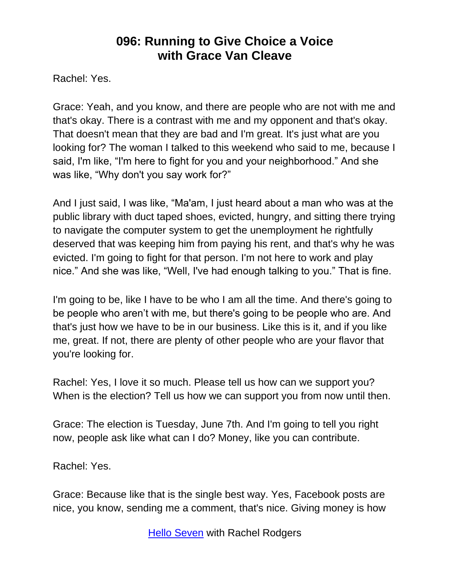Rachel: Yes.

Grace: Yeah, and you know, and there are people who are not with me and that's okay. There is a contrast with me and my opponent and that's okay. That doesn't mean that they are bad and I'm great. It's just what are you looking for? The woman I talked to this weekend who said to me, because I said, I'm like, "I'm here to fight for you and your neighborhood." And she was like, "Why don't you say work for?"

And I just said, I was like, "Ma'am, I just heard about a man who was at the public library with duct taped shoes, evicted, hungry, and sitting there trying to navigate the computer system to get the unemployment he rightfully deserved that was keeping him from paying his rent, and that's why he was evicted. I'm going to fight for that person. I'm not here to work and play nice." And she was like, "Well, I've had enough talking to you." That is fine.

I'm going to be, like I have to be who I am all the time. And there's going to be people who aren't with me, but there's going to be people who are. And that's just how we have to be in our business. Like this is it, and if you like me, great. If not, there are plenty of other people who are your flavor that you're looking for.

Rachel: Yes, I love it so much. Please tell us how can we support you? When is the election? Tell us how we can support you from now until then.

Grace: The election is Tuesday, June 7th. And I'm going to tell you right now, people ask like what can I do? Money, like you can contribute.

Rachel: Yes.

Grace: Because like that is the single best way. Yes, Facebook posts are nice, you know, sending me a comment, that's nice. Giving money is how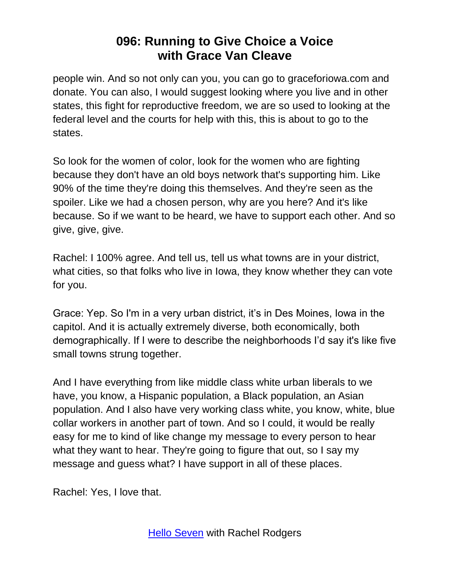people win. And so not only can you, you can go to graceforiowa.com and donate. You can also, I would suggest looking where you live and in other states, this fight for reproductive freedom, we are so used to looking at the federal level and the courts for help with this, this is about to go to the states.

So look for the women of color, look for the women who are fighting because they don't have an old boys network that's supporting him. Like 90% of the time they're doing this themselves. And they're seen as the spoiler. Like we had a chosen person, why are you here? And it's like because. So if we want to be heard, we have to support each other. And so give, give, give.

Rachel: I 100% agree. And tell us, tell us what towns are in your district, what cities, so that folks who live in Iowa, they know whether they can vote for you.

Grace: Yep. So I'm in a very urban district, it's in Des Moines, Iowa in the capitol. And it is actually extremely diverse, both economically, both demographically. If I were to describe the neighborhoods I'd say it's like five small towns strung together.

And I have everything from like middle class white urban liberals to we have, you know, a Hispanic population, a Black population, an Asian population. And I also have very working class white, you know, white, blue collar workers in another part of town. And so I could, it would be really easy for me to kind of like change my message to every person to hear what they want to hear. They're going to figure that out, so I say my message and guess what? I have support in all of these places.

Rachel: Yes, I love that.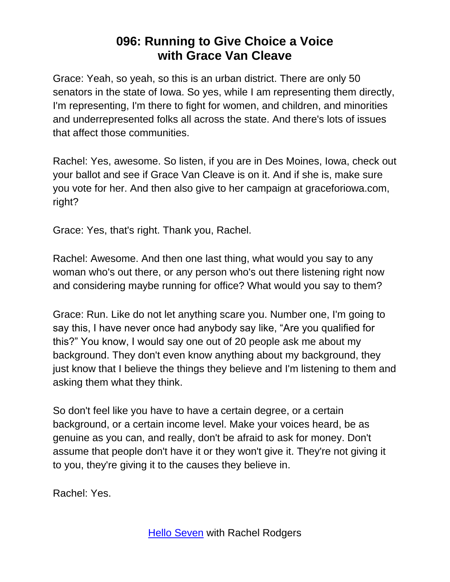Grace: Yeah, so yeah, so this is an urban district. There are only 50 senators in the state of Iowa. So yes, while I am representing them directly, I'm representing, I'm there to fight for women, and children, and minorities and underrepresented folks all across the state. And there's lots of issues that affect those communities.

Rachel: Yes, awesome. So listen, if you are in Des Moines, Iowa, check out your ballot and see if Grace Van Cleave is on it. And if she is, make sure you vote for her. And then also give to her campaign at graceforiowa.com, right?

Grace: Yes, that's right. Thank you, Rachel.

Rachel: Awesome. And then one last thing, what would you say to any woman who's out there, or any person who's out there listening right now and considering maybe running for office? What would you say to them?

Grace: Run. Like do not let anything scare you. Number one, I'm going to say this, I have never once had anybody say like, "Are you qualified for this?" You know, I would say one out of 20 people ask me about my background. They don't even know anything about my background, they just know that I believe the things they believe and I'm listening to them and asking them what they think.

So don't feel like you have to have a certain degree, or a certain background, or a certain income level. Make your voices heard, be as genuine as you can, and really, don't be afraid to ask for money. Don't assume that people don't have it or they won't give it. They're not giving it to you, they're giving it to the causes they believe in.

Rachel: Yes.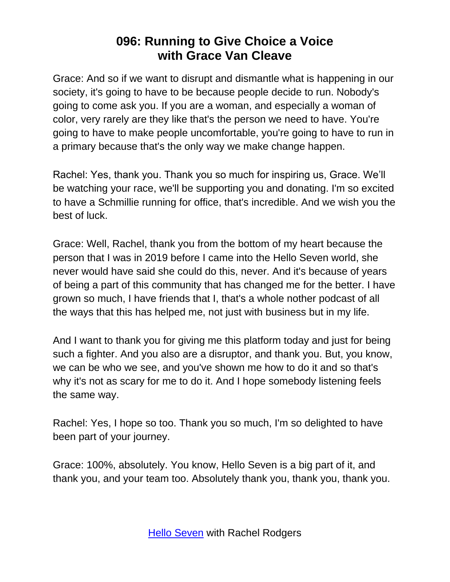Grace: And so if we want to disrupt and dismantle what is happening in our society, it's going to have to be because people decide to run. Nobody's going to come ask you. If you are a woman, and especially a woman of color, very rarely are they like that's the person we need to have. You're going to have to make people uncomfortable, you're going to have to run in a primary because that's the only way we make change happen.

Rachel: Yes, thank you. Thank you so much for inspiring us, Grace. We'll be watching your race, we'll be supporting you and donating. I'm so excited to have a Schmillie running for office, that's incredible. And we wish you the best of luck.

Grace: Well, Rachel, thank you from the bottom of my heart because the person that I was in 2019 before I came into the Hello Seven world, she never would have said she could do this, never. And it's because of years of being a part of this community that has changed me for the better. I have grown so much, I have friends that I, that's a whole nother podcast of all the ways that this has helped me, not just with business but in my life.

And I want to thank you for giving me this platform today and just for being such a fighter. And you also are a disruptor, and thank you. But, you know, we can be who we see, and you've shown me how to do it and so that's why it's not as scary for me to do it. And I hope somebody listening feels the same way.

Rachel: Yes, I hope so too. Thank you so much, I'm so delighted to have been part of your journey.

Grace: 100%, absolutely. You know, Hello Seven is a big part of it, and thank you, and your team too. Absolutely thank you, thank you, thank you.